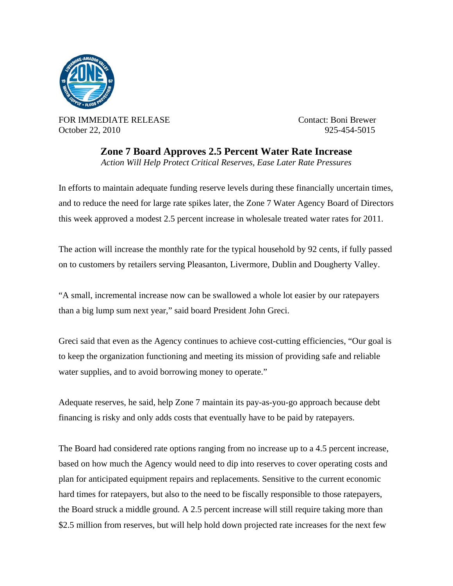

FOR IMMEDIATE RELEASE Contact: Boni Brewer October 22, 2010 925-454-5015

**Zone 7 Board Approves 2.5 Percent Water Rate Increase**  *Action Will Help Protect Critical Reserves, Ease Later Rate Pressures* 

In efforts to maintain adequate funding reserve levels during these financially uncertain times, and to reduce the need for large rate spikes later, the Zone 7 Water Agency Board of Directors this week approved a modest 2.5 percent increase in wholesale treated water rates for 2011.

The action will increase the monthly rate for the typical household by 92 cents, if fully passed on to customers by retailers serving Pleasanton, Livermore, Dublin and Dougherty Valley.

"A small, incremental increase now can be swallowed a whole lot easier by our ratepayers than a big lump sum next year," said board President John Greci.

Greci said that even as the Agency continues to achieve cost-cutting efficiencies, "Our goal is to keep the organization functioning and meeting its mission of providing safe and reliable water supplies, and to avoid borrowing money to operate."

Adequate reserves, he said, help Zone 7 maintain its pay-as-you-go approach because debt financing is risky and only adds costs that eventually have to be paid by ratepayers.

The Board had considered rate options ranging from no increase up to a 4.5 percent increase, based on how much the Agency would need to dip into reserves to cover operating costs and plan for anticipated equipment repairs and replacements. Sensitive to the current economic hard times for ratepayers, but also to the need to be fiscally responsible to those ratepayers, the Board struck a middle ground. A 2.5 percent increase will still require taking more than \$2.5 million from reserves, but will help hold down projected rate increases for the next few